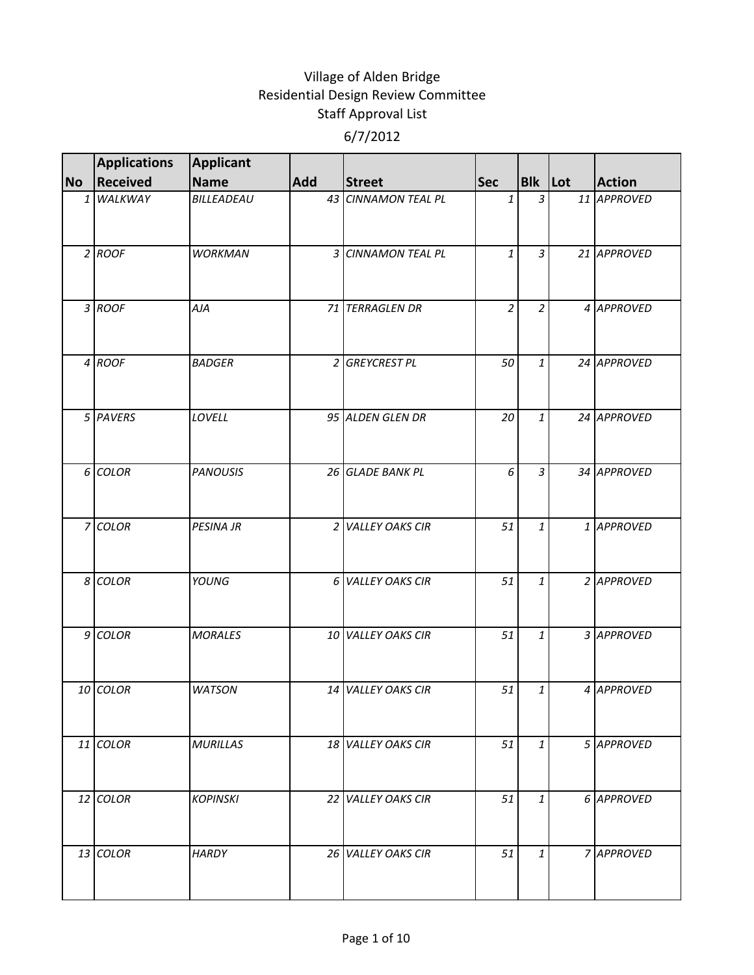|           | <b>Applications</b> | Applicant        |            |                     |                |                |               |
|-----------|---------------------|------------------|------------|---------------------|----------------|----------------|---------------|
| <b>No</b> | Received            | Name             | <b>Add</b> | <b>Street</b>       | <b>Sec</b>     | <b>Blk</b> Lot | <b>Action</b> |
|           | 1 WALKWAY           | BILLEADEAU       |            | 43 CINNAMON TEAL PL | 1              | $\overline{3}$ | 11 APPROVED   |
|           | $2$ ROOF            | <b>WORKMAN</b>   |            | 3 CINNAMON TEAL PL  | $\mathbf{1}$   | 3              | 21 APPROVED   |
|           | 3 ROOF              | AJA              |            | 71 TERRAGLEN DR     | $\overline{2}$ | $\overline{c}$ | 4 APPROVED    |
|           | 4 ROOF              | <b>BADGER</b>    |            | 2 GREYCREST PL      | 50             | $\mathbf{1}$   | 24 APPROVED   |
|           | 5 PAVERS            | LOVELL           |            | 95 ALDEN GLEN DR    | 20             | 1              | 24 APPROVED   |
|           | 6 COLOR             | <b>PANOUSIS</b>  |            | 26 GLADE BANK PL    | 6              | $\overline{3}$ | 34 APPROVED   |
|           | 7 COLOR             | <b>PESINA JR</b> |            | 2 VALLEY OAKS CIR   | 51             | 1              | 1 APPROVED    |
|           | 8 COLOR             | YOUNG            |            | 6 VALLEY OAKS CIR   | 51             | 1              | 2 APPROVED    |
|           | 9 COLOR             | <b>MORALES</b>   |            | 10 VALLEY OAKS CIR  | 51             | $\mathbf{1}$   | 3 APPROVED    |
|           | 10 COLOR            | <b>WATSON</b>    |            | 14 VALLEY OAKS CIR  | 51             | 1              | 4 APPROVED    |
|           | 11 COLOR            | <b>MURILLAS</b>  |            | 18 VALLEY OAKS CIR  | 51             | $\mathbf{1}$   | 5 APPROVED    |
|           | 12 COLOR            | <b>KOPINSKI</b>  |            | 22 VALLEY OAKS CIR  | 51             | 1              | 6 APPROVED    |
|           | 13 COLOR            | <b>HARDY</b>     |            | 26 VALLEY OAKS CIR  | 51             | 1              | 7 APPROVED    |
|           |                     |                  |            |                     |                |                |               |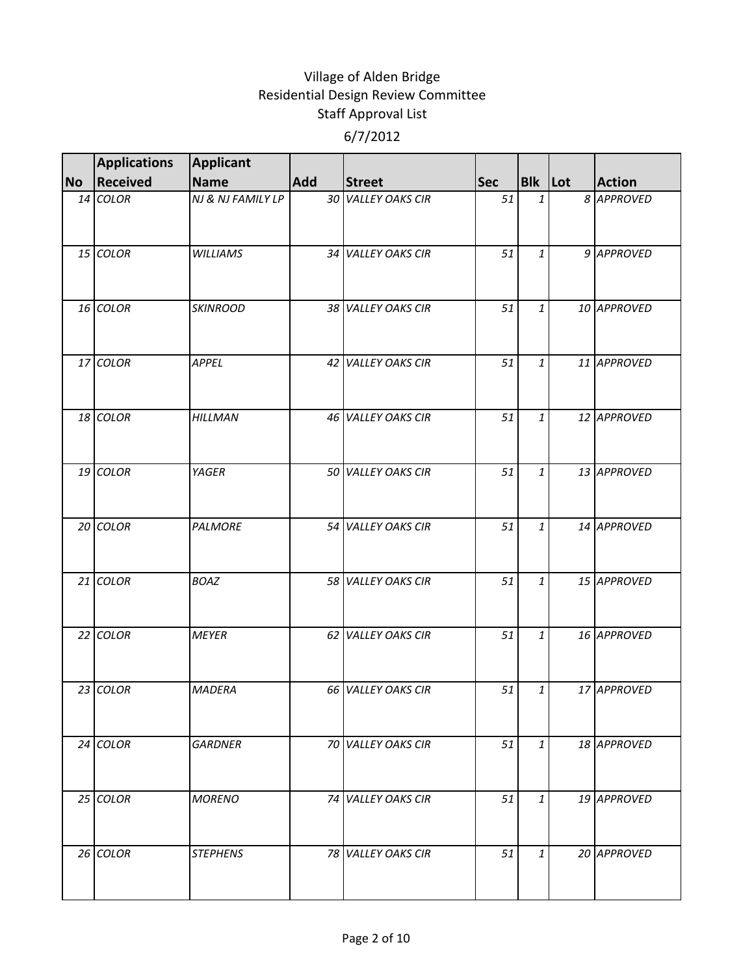|           | <b>Applications</b> | <b>Applicant</b>  |            |                           |            |                |               |
|-----------|---------------------|-------------------|------------|---------------------------|------------|----------------|---------------|
| <b>No</b> | <b>Received</b>     | <b>Name</b>       | <b>Add</b> | <b>Street</b>             | <b>Sec</b> | <b>Bik</b> Lot | <b>Action</b> |
|           | 14 COLOR            | NJ & NJ FAMILY LP |            | 30 VALLEY OAKS CIR        | 51         | 1              | 8 APPROVED    |
|           | 15 COLOR            | <b>WILLIAMS</b>   |            | 34 VALLEY OAKS CIR        | 51         | 1              | 9 APPROVED    |
|           | 16 COLOR            | <b>SKINROOD</b>   |            | 38 VALLEY OAKS CIR        | 51         | 1              | 10 APPROVED   |
|           | 17 COLOR            | APPEL             |            | 42 VALLEY OAKS CIR        | 51         | $\mathbf{1}$   | 11 APPROVED   |
|           | 18 COLOR            | <b>HILLMAN</b>    |            | 46 VALLEY OAKS CIR        | 51         | 1              | 12 APPROVED   |
|           | 19 COLOR            | YAGER             |            | 50 VALLEY OAKS CIR        | 51         | $\mathbf{1}$   | 13 APPROVED   |
|           | 20 COLOR            | <b>PALMORE</b>    |            | 54 VALLEY OAKS CIR        | 51         | 1              | 14 APPROVED   |
|           | $21$ COLOR          | <b>BOAZ</b>       |            | 58 VALLEY OAKS CIR        | 51         | 1              | 15 APPROVED   |
|           | 22 COLOR            | <b>MEYER</b>      |            | 62 VALLEY OAKS CIR        | 51         | 1              | 16 APPROVED   |
|           | 23 COLOR            | <b>MADERA</b>     |            | <b>66 VALLEY OAKS CIR</b> | 51         | 1              | 17 APPROVED   |
|           | 24 COLOR            | <b>GARDNER</b>    |            | 70 VALLEY OAKS CIR        | 51         | 1              | 18 APPROVED   |
|           | 25 COLOR            | <b>MORENO</b>     |            | 74 VALLEY OAKS CIR        | 51         | 1              | 19 APPROVED   |
|           | 26 COLOR            | <b>STEPHENS</b>   |            | 78 VALLEY OAKS CIR        | 51         | 1              | 20 APPROVED   |
|           |                     |                   |            |                           |            |                |               |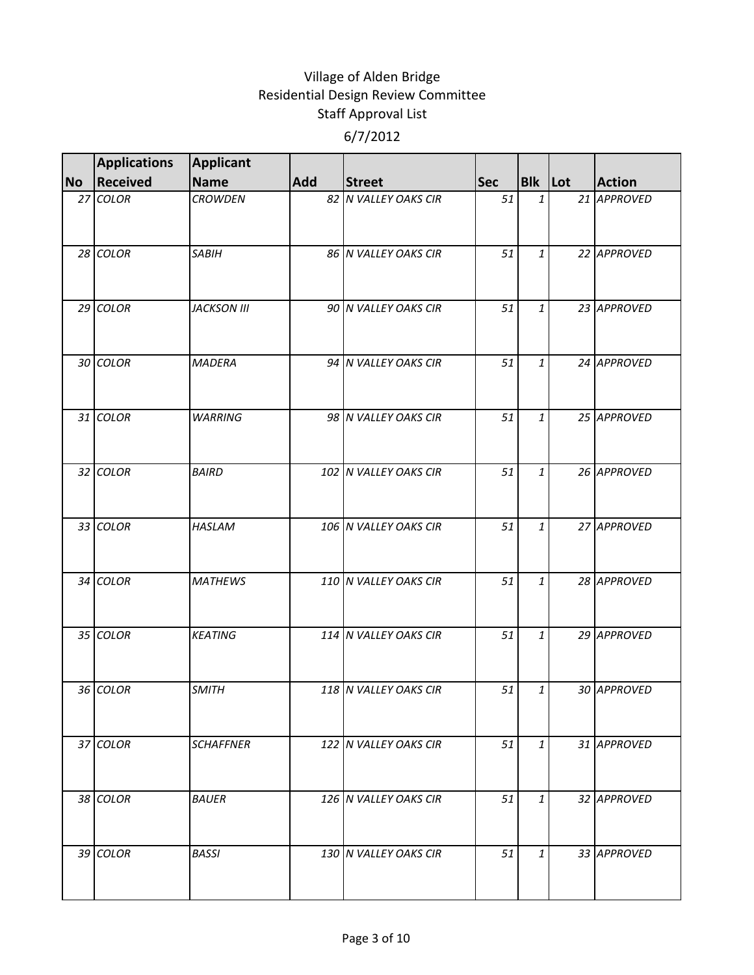|           | <b>Applications</b> | <b>Applicant</b>   |     |                       |            |                |               |
|-----------|---------------------|--------------------|-----|-----------------------|------------|----------------|---------------|
| <b>No</b> | <b>Received</b>     | <b>Name</b>        | Add | <b>Street</b>         | <b>Sec</b> | <b>Bik</b> Lot | <b>Action</b> |
|           | 27 COLOR            | <b>CROWDEN</b>     |     | 82 N VALLEY OAKS CIR  | 51         | $\mathbf{1}$   | 21 APPROVED   |
|           | 28 COLOR            | <b>SABIH</b>       |     | 86 N VALLEY OAKS CIR  | 51         | 1              | 22 APPROVED   |
|           | 29 COLOR            | <b>JACKSON III</b> |     | 90 N VALLEY OAKS CIR  | 51         | 1              | 23 APPROVED   |
|           | 30 COLOR            | <b>MADERA</b>      |     | 94 N VALLEY OAKS CIR  | 51         | $\mathbf{1}$   | 24 APPROVED   |
|           | 31 COLOR            | <b>WARRING</b>     |     | 98 N VALLEY OAKS CIR  | 51         | 1              | 25 APPROVED   |
|           | 32 COLOR            | <b>BAIRD</b>       |     | 102 N VALLEY OAKS CIR | 51         | 1              | 26 APPROVED   |
|           | 33 COLOR            | <b>HASLAM</b>      |     | 106 N VALLEY OAKS CIR | 51         | $\mathbf{1}$   | 27 APPROVED   |
|           | 34 COLOR            | <b>MATHEWS</b>     |     | 110 N VALLEY OAKS CIR | 51         | 1              | 28 APPROVED   |
|           | 35 COLOR            | <b>KEATING</b>     |     | 114 N VALLEY OAKS CIR | 51         | $\mathbf{1}$   | 29 APPROVED   |
|           | 36 COLOR            | <b>SMITH</b>       |     | 118 N VALLEY OAKS CIR | 51         | 1              | 30 APPROVED   |
|           | 37 COLOR            | <b>SCHAFFNER</b>   |     | 122 N VALLEY OAKS CIR | 51         | 1              | 31 APPROVED   |
|           | 38 COLOR            | <b>BAUER</b>       |     | 126 N VALLEY OAKS CIR | 51         | 1              | 32 APPROVED   |
|           | 39 COLOR            | <b>BASSI</b>       |     | 130 N VALLEY OAKS CIR | 51         | 1              | 33 APPROVED   |
|           |                     |                    |     |                       |            |                |               |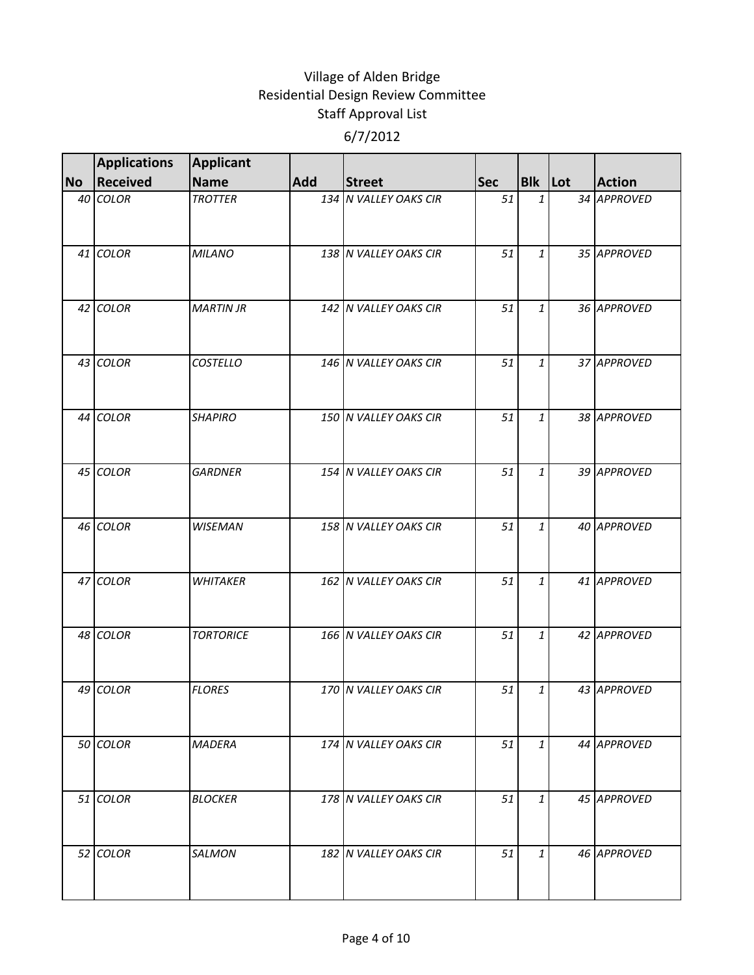|           | <b>Applications</b> | <b>Applicant</b> |     |                       |            |                |               |
|-----------|---------------------|------------------|-----|-----------------------|------------|----------------|---------------|
| <b>No</b> | <b>Received</b>     | <b>Name</b>      | Add | <b>Street</b>         | <b>Sec</b> | <b>Bik</b> Lot | <b>Action</b> |
|           | 40 COLOR            | <b>TROTTER</b>   |     | 134 N VALLEY OAKS CIR | 51         | $\mathbf{1}$   | 34 APPROVED   |
|           | 41 COLOR            | <b>MILANO</b>    |     | 138 N VALLEY OAKS CIR | 51         | 1              | 35 APPROVED   |
|           | 42 COLOR            | <b>MARTIN JR</b> |     | 142 N VALLEY OAKS CIR | 51         | 1              | 36 APPROVED   |
|           | 43 COLOR            | <b>COSTELLO</b>  |     | 146 N VALLEY OAKS CIR | 51         | $\mathbf{1}$   | 37 APPROVED   |
|           | 44 COLOR            | <b>SHAPIRO</b>   |     | 150 N VALLEY OAKS CIR | 51         | 1              | 38 APPROVED   |
|           | 45 COLOR            | <b>GARDNER</b>   |     | 154 N VALLEY OAKS CIR | 51         | 1              | 39 APPROVED   |
|           | 46 COLOR            | <b>WISEMAN</b>   |     | 158 N VALLEY OAKS CIR | 51         | $\mathbf{1}$   | 40 APPROVED   |
|           | 47 COLOR            | <b>WHITAKER</b>  |     | 162 N VALLEY OAKS CIR | 51         | 1              | 41 APPROVED   |
|           | 48 COLOR            | <b>TORTORICE</b> |     | 166 N VALLEY OAKS CIR | 51         | $\mathbf{1}$   | 42 APPROVED   |
|           | 49 COLOR            | <b>FLORES</b>    |     | 170 N VALLEY OAKS CIR | 51         | 1              | 43 APPROVED   |
|           | 50 COLOR            | <b>MADERA</b>    |     | 174 N VALLEY OAKS CIR | 51         | 1              | 44 APPROVED   |
|           | 51 COLOR            | <b>BLOCKER</b>   |     | 178 N VALLEY OAKS CIR | 51         | 1              | 45 APPROVED   |
|           | 52 COLOR            | <b>SALMON</b>    |     | 182 N VALLEY OAKS CIR | 51         | 1              | 46 APPROVED   |
|           |                     |                  |     |                       |            |                |               |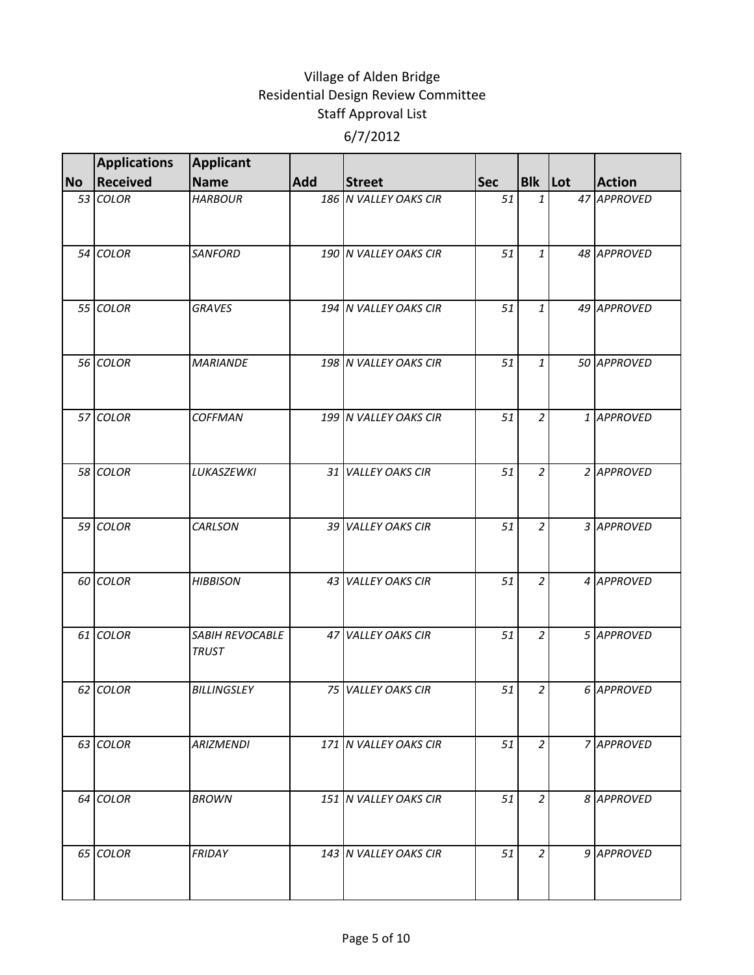|           | <b>Applications</b> | <b>Applicant</b>                |     |                       |            |                |               |
|-----------|---------------------|---------------------------------|-----|-----------------------|------------|----------------|---------------|
| <b>No</b> | <b>Received</b>     | <b>Name</b>                     | Add | <b>Street</b>         | <b>Sec</b> | <b>Bik Lot</b> | <b>Action</b> |
|           | 53 COLOR            | <b>HARBOUR</b>                  |     | 186 N VALLEY OAKS CIR | 51         | $\mathbf{1}$   | 47 APPROVED   |
|           | 54 COLOR            | <b>SANFORD</b>                  |     | 190 N VALLEY OAKS CIR | 51         | 1              | 48 APPROVED   |
|           | 55 COLOR            | <b>GRAVES</b>                   |     | 194 N VALLEY OAKS CIR | 51         | 1              | 49 APPROVED   |
|           | 56 COLOR            | <b>MARIANDE</b>                 |     | 198 N VALLEY OAKS CIR | 51         | 1              | 50 APPROVED   |
|           | 57 COLOR            | <b>COFFMAN</b>                  |     | 199 N VALLEY OAKS CIR | 51         | $\overline{a}$ | 1 APPROVED    |
|           | 58 COLOR            | LUKASZEWKI                      |     | 31 VALLEY OAKS CIR    | 51         | $\overline{a}$ | 2 APPROVED    |
|           | 59 COLOR            | <b>CARLSON</b>                  |     | 39 VALLEY OAKS CIR    | 51         | $\overline{a}$ | 3 APPROVED    |
|           | 60 COLOR            | <b>HIBBISON</b>                 |     | 43 VALLEY OAKS CIR    | 51         | $\overline{2}$ | 4 APPROVED    |
|           | 61 COLOR            | SABIH REVOCABLE<br><b>TRUST</b> |     | 47 VALLEY OAKS CIR    | 51         | $\overline{a}$ | 5 APPROVED    |
|           | 62 COLOR            | <b>BILLINGSLEY</b>              |     | 75 VALLEY OAKS CIR    | 51         | 2              | 6 APPROVED    |
|           | 63 COLOR            | <b>ARIZMENDI</b>                |     | 171 N VALLEY OAKS CIR | 51         | 2              | 7 APPROVED    |
|           | 64 COLOR            | <b>BROWN</b>                    |     | 151 N VALLEY OAKS CIR | 51         | $\overline{a}$ | 8 APPROVED    |
|           | 65 COLOR            | FRIDAY                          |     | 143 N VALLEY OAKS CIR | 51         | 2              | 9 APPROVED    |
|           |                     |                                 |     |                       |            |                |               |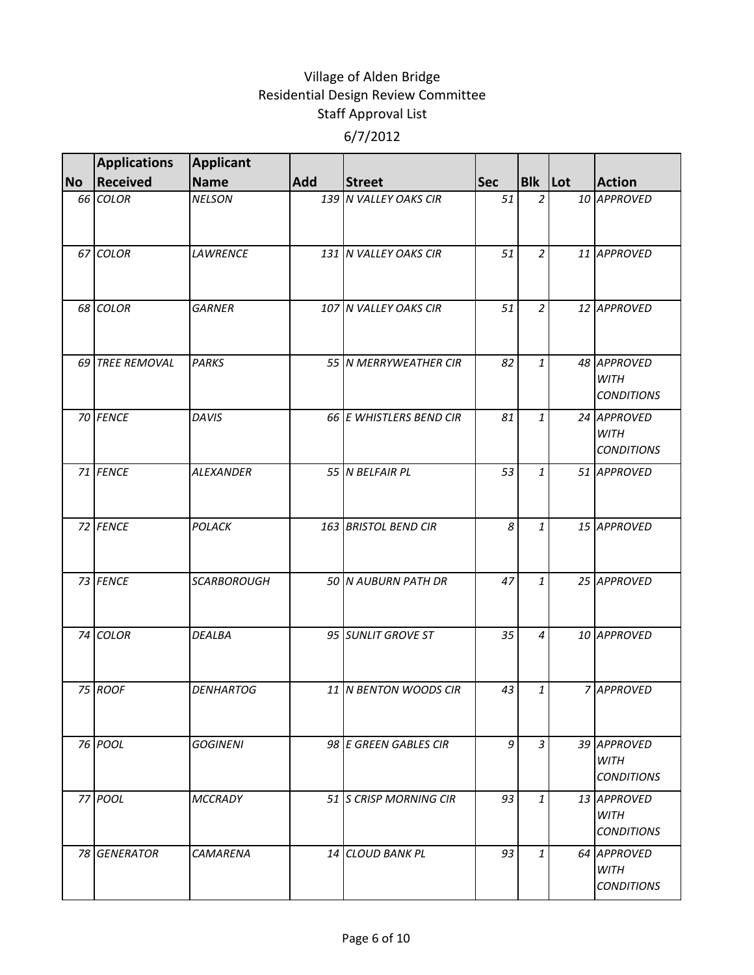|           | <b>Applications</b> | <b>Applicant</b>   |     |                         |            |                |                                                 |
|-----------|---------------------|--------------------|-----|-------------------------|------------|----------------|-------------------------------------------------|
| <b>No</b> | <b>Received</b>     | <b>Name</b>        | Add | <b>Street</b>           | <b>Sec</b> | <b>Bik</b> Lot | <b>Action</b>                                   |
|           | 66 COLOR            | <b>NELSON</b>      |     | 139 N VALLEY OAKS CIR   | 51         | $\overline{a}$ | 10 APPROVED                                     |
|           | 67 COLOR            | <b>LAWRENCE</b>    |     | 131 N VALLEY OAKS CIR   | 51         | $\overline{a}$ | 11 APPROVED                                     |
|           | 68 COLOR            | <b>GARNER</b>      |     | 107 N VALLEY OAKS CIR   | 51         | $\overline{a}$ | 12 APPROVED                                     |
|           | 69 TREE REMOVAL     | <b>PARKS</b>       |     | 55 N MERRYWEATHER CIR   | 82         | 1              | 48 APPROVED<br><b>WITH</b><br><b>CONDITIONS</b> |
|           | 70 FENCE            | <b>DAVIS</b>       |     | 66 E WHISTLERS BEND CIR | 81         | 1              | 24 APPROVED<br><b>WITH</b><br><b>CONDITIONS</b> |
|           | 71 FENCE            | <b>ALEXANDER</b>   |     | 55 N BELFAIR PL         | 53         | 1              | 51 APPROVED                                     |
|           | 72 FENCE            | POLACK             |     | 163 BRISTOL BEND CIR    | 8          | $\mathbf{1}$   | 15 APPROVED                                     |
|           | 73 FENCE            | <b>SCARBOROUGH</b> |     | 50 N AUBURN PATH DR     | 47         | 1              | 25 APPROVED                                     |
|           | 74 COLOR            | <b>DEALBA</b>      |     | 95 SUNLIT GROVE ST      | 35         | 4              | 10 APPROVED                                     |
|           | 75 ROOF             | <b>DENHARTOG</b>   |     | 11 N BENTON WOODS CIR   | 43         | 1              | 7 APPROVED                                      |
|           | 76 POOL             | <b>GOGINENI</b>    |     | 98 E GREEN GABLES CIR   | 9          | 3              | 39 APPROVED<br><b>WITH</b><br><b>CONDITIONS</b> |
|           | 77 POOL             | <b>MCCRADY</b>     |     | 51 IS CRISP MORNING CIR | 93         | $\mathbf{1}$   | 13 APPROVED<br>WITH<br><b>CONDITIONS</b>        |
|           | 78 GENERATOR        | <b>CAMARENA</b>    |     | 14 CLOUD BANK PL        | 93         | 1              | 64 APPROVED<br><b>WITH</b><br><b>CONDITIONS</b> |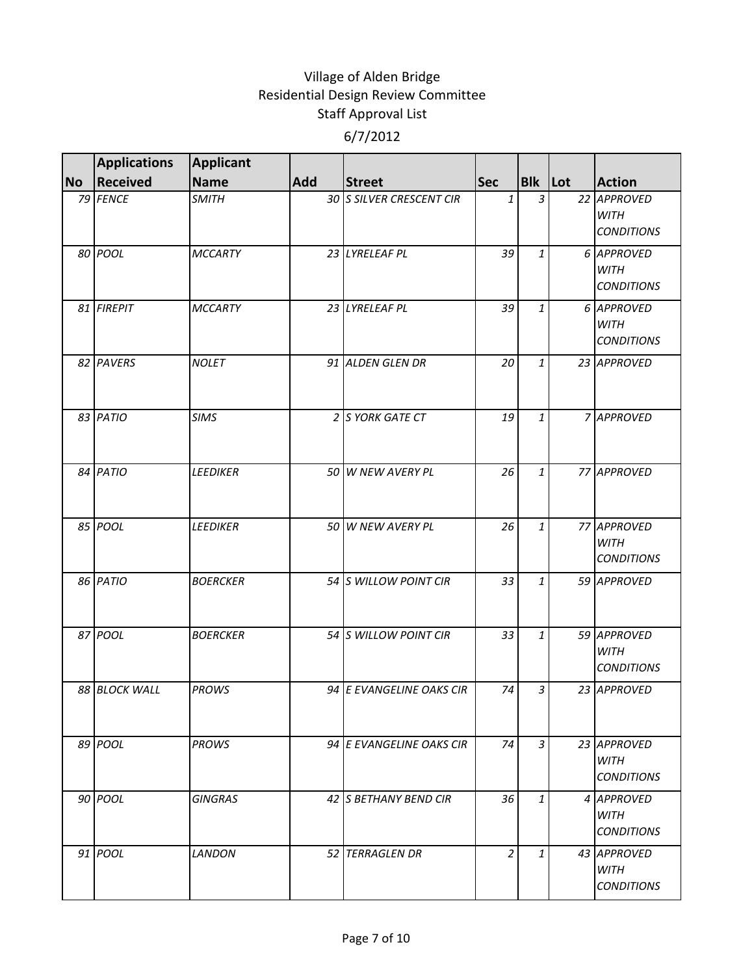|           | <b>Applications</b> | <b>Applicant</b> |     |                          |                |                |                                                 |
|-----------|---------------------|------------------|-----|--------------------------|----------------|----------------|-------------------------------------------------|
| <b>No</b> | <b>Received</b>     | <b>Name</b>      | Add | <b>Street</b>            | <b>Sec</b>     | <b>Bik</b> Lot | <b>Action</b>                                   |
|           | 79 FENCE            | <b>SMITH</b>     |     | 30 S SILVER CRESCENT CIR | 1              | 3              | 22 APPROVED<br><b>WITH</b><br><b>CONDITIONS</b> |
|           | 80 POOL             | <b>MCCARTY</b>   |     | 23 LYRELEAF PL           | 39             | 1              | 6 APPROVED<br><b>WITH</b><br><b>CONDITIONS</b>  |
|           | 81 FIREPIT          | <b>MCCARTY</b>   |     | 23 LYRELEAF PL           | 39             | 1              | 6 APPROVED<br><b>WITH</b><br><b>CONDITIONS</b>  |
|           | 82 PAVERS           | <b>NOLET</b>     |     | 91 ALDEN GLEN DR         | 20             | 1              | 23 APPROVED                                     |
|           | 83 PATIO            | <b>SIMS</b>      |     | 2 S YORK GATE CT         | 19             | 1              | 7 APPROVED                                      |
|           | 84 PATIO            | <b>LEEDIKER</b>  |     | 50 W NEW AVERY PL        | 26             | 1              | 77 APPROVED                                     |
|           | 85 POOL             | <b>LEEDIKER</b>  |     | 50 W NEW AVERY PL        | 26             | $\mathbf{1}$   | 77 APPROVED<br><b>WITH</b><br><b>CONDITIONS</b> |
|           | 86 PATIO            | <b>BOERCKER</b>  |     | 54 S WILLOW POINT CIR    | 33             | 1              | 59 APPROVED                                     |
|           | 87 POOL             | <b>BOERCKER</b>  |     | 54 S WILLOW POINT CIR    | 33             | 1              | 59 APPROVED<br>WITH<br><b>CONDITIONS</b>        |
|           | 88 BLOCK WALL       | <b>PROWS</b>     |     | 94 E EVANGELINE OAKS CIR | 74             | 3              | 23 APPROVED                                     |
|           | 89 POOL             | <b>PROWS</b>     |     | 94 E EVANGELINE OAKS CIR | 74             | 3              | 23 APPROVED<br><b>WITH</b><br><b>CONDITIONS</b> |
|           | 90 POOL             | <b>GINGRAS</b>   |     | 42 IS BETHANY BEND CIR   | 36             | $\mathbf{1}$   | 4 APPROVED<br>WITH<br><b>CONDITIONS</b>         |
|           | 91 <i>POOL</i>      | <b>LANDON</b>    |     | 52 TERRAGLEN DR          | $\overline{2}$ | 1              | 43 APPROVED<br><b>WITH</b><br><b>CONDITIONS</b> |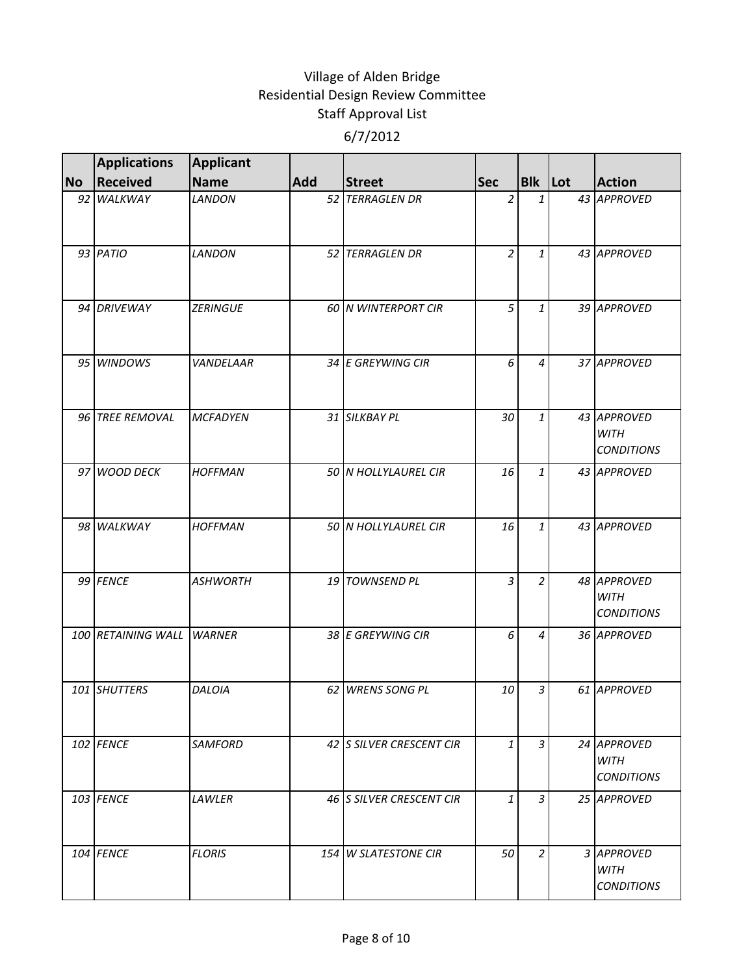|           | <b>Applications</b>       | <b>Applicant</b> |            |                          |                |                |    |                                                 |
|-----------|---------------------------|------------------|------------|--------------------------|----------------|----------------|----|-------------------------------------------------|
| <b>No</b> | <b>Received</b>           | <b>Name</b>      | <b>Add</b> | <b>Street</b>            | <b>Sec</b>     | <b>Blk</b> Lot |    | <b>Action</b>                                   |
|           | 92 WALKWAY                | <b>LANDON</b>    |            | 52 TERRAGLEN DR          | 2              | 1              | 43 | <b>APPROVED</b>                                 |
|           | 93 PATIO                  | <b>LANDON</b>    |            | 52 TERRAGLEN DR          | $\overline{2}$ | 1              |    | 43 APPROVED                                     |
|           | 94 DRIVEWAY               | <b>ZERINGUE</b>  |            | 60 N WINTERPORT CIR      | 5              | 1              |    | 39 APPROVED                                     |
|           | 95 WINDOWS                | VANDELAAR        |            | 34 E GREYWING CIR        | 6              | 4              |    | 37 APPROVED                                     |
|           | 96 TREE REMOVAL           | <b>MCFADYEN</b>  |            | 31 SILKBAY PL            | 30             | 1              |    | 43 APPROVED<br><b>WITH</b><br><b>CONDITIONS</b> |
|           | 97 WOOD DECK              | <b>HOFFMAN</b>   |            | 50 N HOLLYLAUREL CIR     | 16             | 1              |    | 43 APPROVED                                     |
|           | 98 WALKWAY                | <b>HOFFMAN</b>   |            | 50 N HOLLYLAUREL CIR     | 16             | 1              |    | 43 APPROVED                                     |
|           | 99 FENCE                  | <b>ASHWORTH</b>  |            | 19 TOWNSEND PL           | $\overline{3}$ | $\overline{2}$ |    | 48 APPROVED<br><b>WITH</b><br><b>CONDITIONS</b> |
|           | 100 RETAINING WALL WARNER |                  |            | 38 E GREYWING CIR        | 6              | 4              |    | 36 APPROVED                                     |
|           | 101 SHUTTERS              | DALOIA           |            | 62 WRENS SONG PL         | 10             | 3              |    | 61 APPROVED                                     |
|           | 102 FENCE                 | SAMFORD          |            | 42 S SILVER CRESCENT CIR | $\mathbf{1}$   | 3              |    | 24 APPROVED<br><b>WITH</b><br><b>CONDITIONS</b> |
|           | 103 FENCE                 | LAWLER           |            | 46 S SILVER CRESCENT CIR | 1              | 3              |    | 25 APPROVED                                     |
|           | 104 FENCE                 | <b>FLORIS</b>    |            | 154 W SLATESTONE CIR     | 50             | 2              |    | 3 APPROVED<br><b>WITH</b><br><b>CONDITIONS</b>  |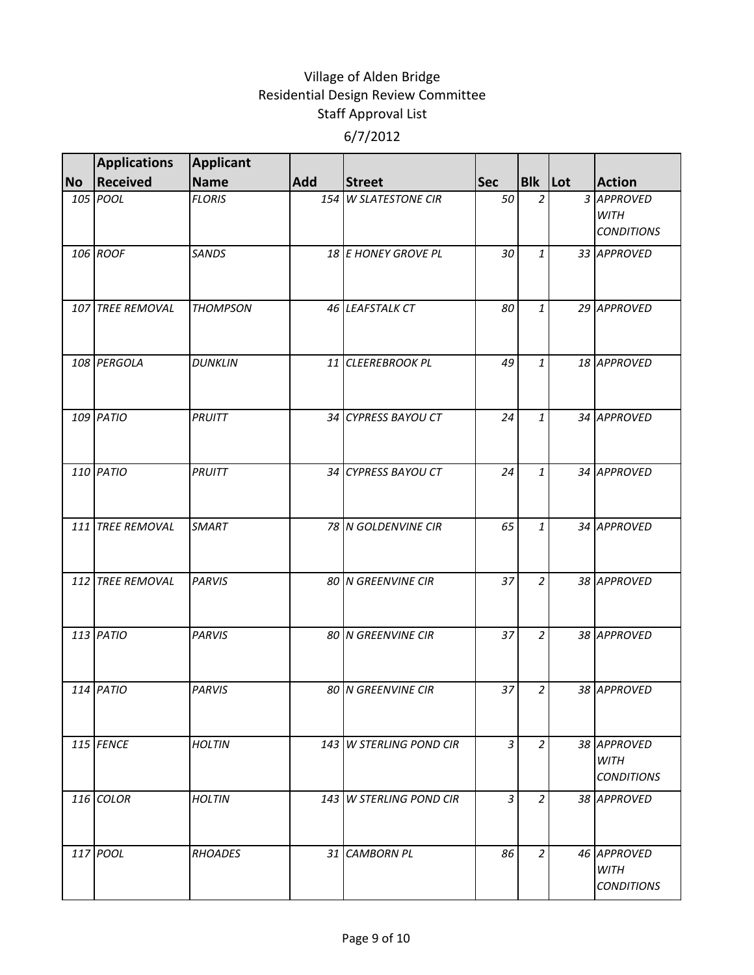|           | <b>Applications</b> | <b>Applicant</b> |            |                         |                |                |                                                 |
|-----------|---------------------|------------------|------------|-------------------------|----------------|----------------|-------------------------------------------------|
| <b>No</b> | Received            | <b>Name</b>      | <b>Add</b> | <b>Street</b>           | <b>Sec</b>     | <b>Blk</b> Lot | <b>Action</b>                                   |
|           | 105 POOL            | <b>FLORIS</b>    |            | 154 W SLATESTONE CIR    | 50             | $\overline{a}$ | 3 APPROVED<br><b>WITH</b><br><b>CONDITIONS</b>  |
|           | 106 ROOF            | <b>SANDS</b>     |            | 18 E HONEY GROVE PL     | 30             | 1              | 33 APPROVED                                     |
|           | 107 TREE REMOVAL    | <b>THOMPSON</b>  |            | 46 LEAFSTALK CT         | 80             | 1              | 29 APPROVED                                     |
|           | 108 PERGOLA         | <b>DUNKLIN</b>   |            | 11 CLEEREBROOK PL       | 49             | $\mathbf{1}$   | 18 APPROVED                                     |
|           | 109 PATIO           | PRUITT           |            | 34 CYPRESS BAYOU CT     | 24             | 1              | 34 APPROVED                                     |
|           | 110 PATIO           | PRUITT           |            | 34 CYPRESS BAYOU CT     | 24             | $\mathbf{1}$   | 34 APPROVED                                     |
|           | 111 TREE REMOVAL    | <b>SMART</b>     |            | 78 N GOLDENVINE CIR     | 65             | 1              | 34 APPROVED                                     |
|           | 112 TREE REMOVAL    | <b>PARVIS</b>    |            | 80 N GREENVINE CIR      | 37             | $\overline{2}$ | 38 APPROVED                                     |
|           | 113 PATIO           | <b>PARVIS</b>    |            | 80 N GREENVINE CIR      | 37             | $\overline{a}$ | 38 APPROVED                                     |
|           | 114 PATIO           | <b>PARVIS</b>    |            | 80 N GREENVINE CIR      | 37             | 2              | 38 APPROVED                                     |
|           | 115 FENCE           | <b>HOLTIN</b>    |            | 143 W STERLING POND CIR | $\overline{3}$ | $\overline{a}$ | 38 APPROVED<br><b>WITH</b><br><b>CONDITIONS</b> |
|           | $116$ COLOR         | <b>HOLTIN</b>    |            | 143 W STERLING POND CIR | $\overline{3}$ | 2              | 38 APPROVED                                     |
|           | 117 POOL            | <b>RHOADES</b>   |            | 31 CAMBORN PL           | 86             | 2              | 46 APPROVED<br><b>WITH</b><br><b>CONDITIONS</b> |